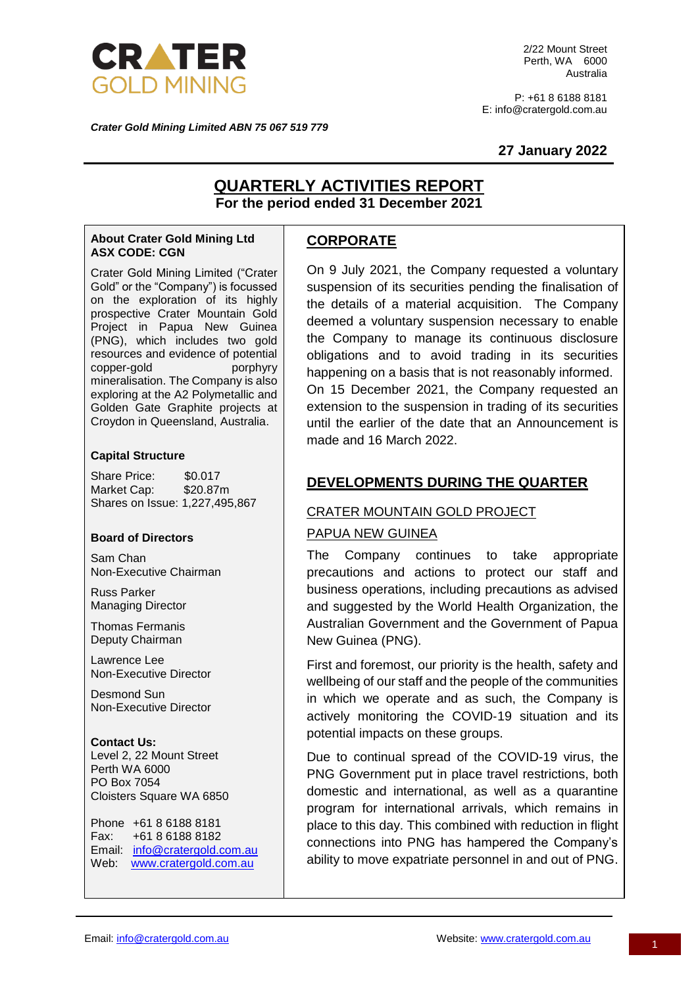

2/22 Mount Street Perth, WA 6000 Australia

P: +61 8 6188 8181 E: info@cratergold.com.au

*Crater Gold Mining Limited ABN 75 067 519 779*

### **27 January 2022**

# **QUARTERLY ACTIVITIES REPORT For the period ended 31 December 2021**

#### **About Crater Gold Mining Ltd ASX CODE: CGN**

Crater Gold Mining Limited ("Crater Gold" or the "Company") is focussed on the exploration of its highly prospective Crater Mountain Gold Project in Papua New Guinea (PNG), which includes two gold resources and evidence of potential copper-gold porphyry mineralisation. The Company is also exploring at the A2 Polymetallic and Golden Gate Graphite projects at Croydon in Queensland, Australia.

### **Capital Structure**

Share Price: \$0.017 Market Cap: \$20.87m Shares on Issue: 1,227,495,867

### **Board of Directors**

Sam Chan Non-Executive Chairman

Russ Parker Managing Director

Thomas Fermanis Deputy Chairman

Lawrence Lee Non-Executive Director

Desmond Sun Non-Executive Director

**Contact Us:** Level 2, 22 Mount Street Perth WA 6000 PO Box 7054 Cloisters Square WA 6850

Phone +61 8 6188 8181 Fax: +61 8 6188 8182 Email: [info@cratergold.com.au](mailto:info@cratergold.com.au) Web: [www.cratergold.com.au](http://www.cratergold.com.au/)

## **CORPORATE**

On 9 July 2021, the Company requested a voluntary suspension of its securities pending the finalisation of the details of a material acquisition. The Company deemed a voluntary suspension necessary to enable the Company to manage its continuous disclosure obligations and to avoid trading in its securities happening on a basis that is not reasonably informed. On 15 December 2021, the Company requested an extension to the suspension in trading of its securities until the earlier of the date that an Announcement is made and 16 March 2022.

## **DEVELOPMENTS DURING THE QUARTER**

### CRATER MOUNTAIN GOLD PROJECT

### PAPUA NEW GUINEA

The Company continues to take appropriate precautions and actions to protect our staff and business operations, including precautions as advised and suggested by the World Health Organization, the Australian Government and the Government of Papua New Guinea (PNG).

First and foremost, our priority is the health, safety and wellbeing of our staff and the people of the communities in which we operate and as such, the Company is actively monitoring the COVID‐19 situation and its potential impacts on these groups.

Due to continual spread of the COVID-19 virus, the PNG Government put in place travel restrictions, both domestic and international, as well as a quarantine program for international arrivals, which remains in place to this day. This combined with reduction in flight connections into PNG has hampered the Company's ability to move expatriate personnel in and out of PNG.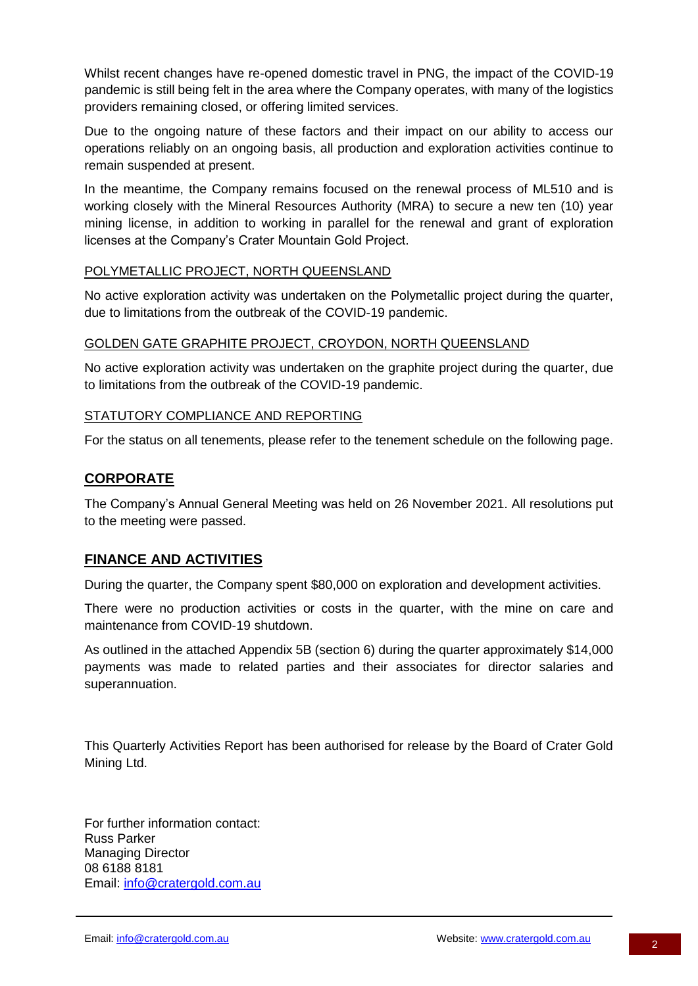Whilst recent changes have re-opened domestic travel in PNG, the impact of the COVID-19 pandemic is still being felt in the area where the Company operates, with many of the logistics providers remaining closed, or offering limited services.

Due to the ongoing nature of these factors and their impact on our ability to access our operations reliably on an ongoing basis, all production and exploration activities continue to remain suspended at present.

In the meantime, the Company remains focused on the renewal process of ML510 and is working closely with the Mineral Resources Authority (MRA) to secure a new ten (10) year mining license, in addition to working in parallel for the renewal and grant of exploration licenses at the Company's Crater Mountain Gold Project.

# POLYMETALLIC PROJECT, NORTH QUEENSLAND

No active exploration activity was undertaken on the Polymetallic project during the quarter, due to limitations from the outbreak of the COVID-19 pandemic.

### GOLDEN GATE GRAPHITE PROJECT, CROYDON, NORTH QUEENSLAND

No active exploration activity was undertaken on the graphite project during the quarter, due to limitations from the outbreak of the COVID-19 pandemic.

### STATUTORY COMPLIANCE AND REPORTING

For the status on all tenements, please refer to the tenement schedule on the following page.

# **CORPORATE**

The Company's Annual General Meeting was held on 26 November 2021. All resolutions put to the meeting were passed.

# **FINANCE AND ACTIVITIES**

During the quarter, the Company spent \$80,000 on exploration and development activities.

There were no production activities or costs in the quarter, with the mine on care and maintenance from COVID-19 shutdown.

As outlined in the attached Appendix 5B (section 6) during the quarter approximately \$14,000 payments was made to related parties and their associates for director salaries and superannuation.

This Quarterly Activities Report has been authorised for release by the Board of Crater Gold Mining Ltd.

For further information contact: Russ Parker Managing Director 08 6188 8181 Email: [info@cratergold.com.au](mailto:info@cratergold.com.au)